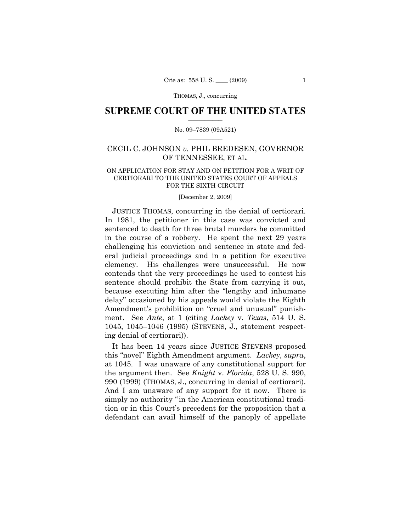THOMAS, J., concurring

## $\frac{1}{2}$  ,  $\frac{1}{2}$  ,  $\frac{1}{2}$  ,  $\frac{1}{2}$  ,  $\frac{1}{2}$  ,  $\frac{1}{2}$  ,  $\frac{1}{2}$ **SUPREME COURT OF THE UNITED STATES**

### $\frac{1}{2}$  ,  $\frac{1}{2}$  ,  $\frac{1}{2}$  ,  $\frac{1}{2}$  ,  $\frac{1}{2}$  ,  $\frac{1}{2}$ No. 09–7839 (09A521)

# CECIL C. JOHNSON *v.* PHIL BREDESEN, GOVERNOR OF TENNESSEE, ET AL.

## ON APPLICATION FOR STAY AND ON PETITION FOR A WRIT OF CERTIORARI TO THE UNITED STATES COURT OF APPEALS FOR THE SIXTH CIRCUIT

#### [December 2, 2009]

JUSTICE THOMAS, concurring in the denial of certiorari. In 1981, the petitioner in this case was convicted and sentenced to death for three brutal murders he committed in the course of a robbery. He spent the next 29 years challenging his conviction and sentence in state and federal judicial proceedings and in a petition for executive clemency. His challenges were unsuccessful. He now contends that the very proceedings he used to contest his sentence should prohibit the State from carrying it out, because executing him after the "lengthy and inhumane delay" occasioned by his appeals would violate the Eighth Amendment's prohibition on "cruel and unusual" punishment. See *Ante*, at 1 (citing *Lackey* v. *Texas*, 514 U. S. 1045, 1045–1046 (1995) (STEVENS, J., statement respecting denial of certiorari)).

It has been 14 years since JUSTICE STEVENS proposed this "novel" Eighth Amendment argument. *Lackey*, *supra*, at 1045. I was unaware of any constitutional support for the argument then. See *Knight* v. *Florida*, 528 U. S. 990, 990 (1999) (THOMAS, J., concurring in denial of certiorari). And I am unaware of any support for it now. There is simply no authority "in the American constitutional tradition or in this Court's precedent for the proposition that a defendant can avail himself of the panoply of appellate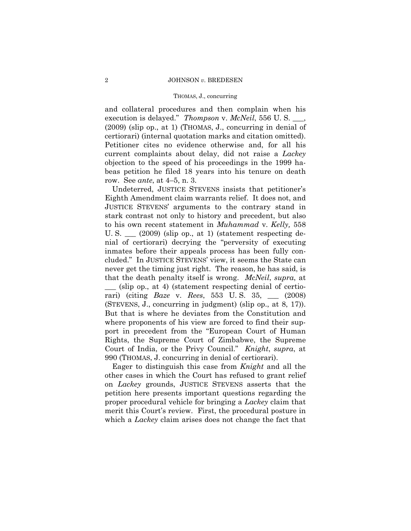#### THOMAS, J., concurring

and collateral procedures and then complain when his execution is delayed." *Thompson* v. *McNeil*, 556 U. S. \_\_\_, (2009) (slip op., at 1) (THOMAS, J., concurring in denial of certiorari) (internal quotation marks and citation omitted). Petitioner cites no evidence otherwise and, for all his current complaints about delay, did not raise a *Lackey* objection to the speed of his proceedings in the 1999 habeas petition he filed 18 years into his tenure on death row. See *ante*, at 4–5, n. 3.

 Undeterred, JUSTICE STEVENS insists that petitioner's Eighth Amendment claim warrants relief. It does not, and JUSTICE STEVENS' arguments to the contrary stand in stark contrast not only to history and precedent, but also to his own recent statement in *Muhammad* v. *Kelly,* 558 U. S.  $\qquad$  (2009) (slip op., at 1) (statement respecting denial of certiorari) decrying the "perversity of executing inmates before their appeals process has been fully concluded." In JUSTICE STEVENS' view, it seems the State can never get the timing just right. The reason, he has said, is that the death penalty itself is wrong. *McNeil*, *supra*, at \_\_\_ (slip op., at 4) (statement respecting denial of certiorari) (citing *Baze* v. *Rees*, 553 U. S. 35, \_\_\_ (2008) (STEVENS, J., concurring in judgment) (slip op., at 8, 17)). But that is where he deviates from the Constitution and where proponents of his view are forced to find their support in precedent from the "European Court of Human Rights, the Supreme Court of Zimbabwe, the Supreme Court of India, or the Privy Council." *Knight*, *supra*, at 990 (THOMAS, J. concurring in denial of certiorari).

Eager to distinguish this case from *Knight* and all the other cases in which the Court has refused to grant relief on *Lackey* grounds, JUSTICE STEVENS asserts that the petition here presents important questions regarding the proper procedural vehicle for bringing a *Lackey* claim that merit this Court's review. First, the procedural posture in which a *Lackey* claim arises does not change the fact that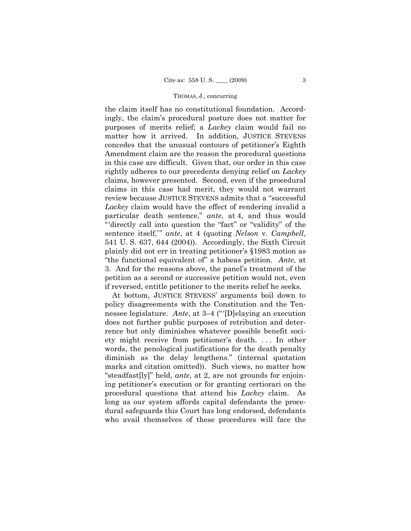#### THOMAS, J., concurring

the claim itself has no constitutional foundation. Accordingly, the claim's procedural posture does not matter for purposes of merits relief; a *Lackey* claim would fail no matter how it arrived. In addition, JUSTICE STEVENS concedes that the unusual contours of petitioner's Eighth Amendment claim are the reason the procedural questions in this case are difficult. Given that, our order in this case rightly adheres to our precedents denying relief on *Lackey* claims, however presented. Second, even if the procedural claims in this case had merit, they would not warrant review because JUSTICE STEVENS admits that a "successful *Lackey* claim would have the effect of rendering invalid a particular death sentence," *ante*, at 4, and thus would "'directly call into question the "fact" or "validity" of the sentence itself,'" *ante*, at 4 (quoting *Nelson* v. *Campbell*, 541 U. S. 637, 644 (2004)). Accordingly, the Sixth Circuit plainly did not err in treating petitioner's §1983 motion as "the functional equivalent of" a habeas petition. *Ante*, at 3. And for the reasons above, the panel's treatment of the petition as a second or successive petition would not, even if reversed, entitle petitioner to the merits relief he seeks.

At bottom, JUSTICE STEVENS' arguments boil down to policy disagreements with the Constitution and the Tennessee legislature. *Ante*, at 3–4 ("'[D]elaying an execution does not further public purposes of retribution and deterrence but only diminishes whatever possible benefit society might receive from petitioner's death. . . . In other words, the penological justifications for the death penalty diminish as the delay lengthens." (internal quotation marks and citation omitted)). Such views, no matter how "steadfast[ly]" held, *ante*, at 2, are not grounds for enjoining petitioner's execution or for granting certiorari on the procedural questions that attend his *Lackey* claim. As long as our system affords capital defendants the procedural safeguards this Court has long endorsed, defendants who avail themselves of these procedures will face the